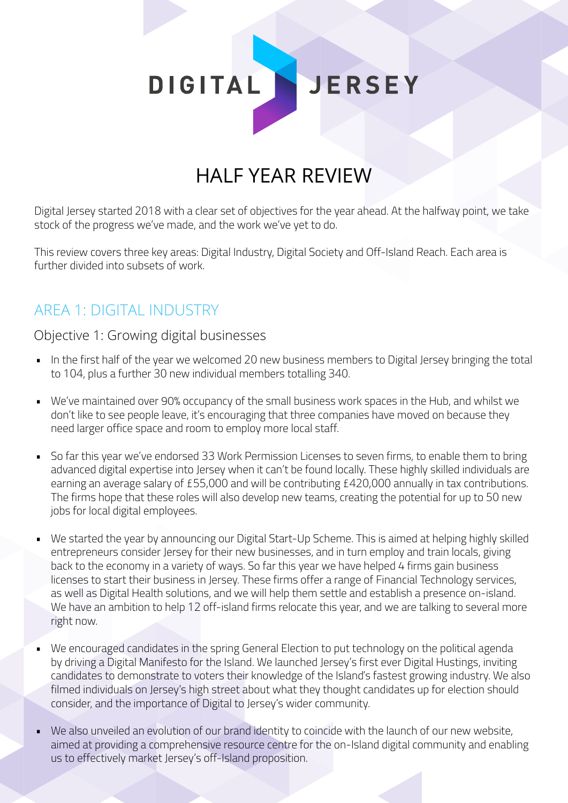DIGITAL JERSEY

# HALF YEAR REVIEW

Digital Jersey started 2018 with a clear set of objectives for the year ahead. At the halfway point, we take stock of the progress we've made, and the work we've yet to do.

This review covers three key areas: Digital Industry, Digital Society and Off-Island Reach. Each area is further divided into subsets of work.

## AREA 1: DIGITAL INDUSTRY

Objective 1: Growing digital businesses

- In the first half of the year we welcomed 20 new business members to Digital Jersey bringing the total to 104, plus a further 30 new individual members totalling 340.
- We've maintained over 90% occupancy of the small business work spaces in the Hub, and whilst we don't like to see people leave, it's encouraging that three companies have moved on because they need larger office space and room to employ more local staff.
- So far this year we've endorsed 33 Work Permission Licenses to seven firms, to enable them to bring advanced digital expertise into Jersey when it can't be found locally. These highly skilled individuals are earning an average salary of £55,000 and will be contributing £420,000 annually in tax contributions. The firms hope that these roles will also develop new teams, creating the potential for up to 50 new jobs for local digital employees.
- We started the year by announcing our Digital Start-Up Scheme. This is aimed at helping highly skilled entrepreneurs consider Jersey for their new businesses, and in turn employ and train locals, giving back to the economy in a variety of ways. So far this year we have helped 4 firms gain business licenses to start their business in Jersey. These firms offer a range of Financial Technology services, as well as Digital Health solutions, and we will help them settle and establish a presence on-island. We have an ambition to help 12 off-island firms relocate this year, and we are talking to several more right now.
- We encouraged candidates in the spring General Election to put technology on the political agenda by driving a Digital Manifesto for the Island. We launched Jersey's first ever Digital Hustings, inviting candidates to demonstrate to voters their knowledge of the Island's fastest growing industry. We also filmed individuals on Jersey's high street about what they thought candidates up for election should consider, and the importance of Digital to Jersey's wider community.
- We also unveiled an evolution of our brand identity to coincide with the launch of our new website, aimed at providing a comprehensive resource centre for the on-Island digital community and enabling us to effectively market Jersey's off-Island proposition.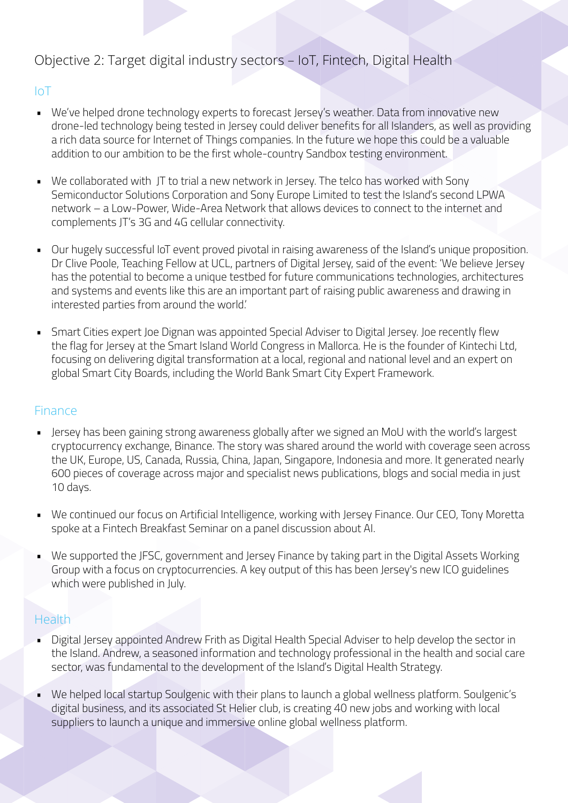### Objective 2: Target digital industry sectors – IoT, Fintech, Digital Health

#### IoT

- We've helped drone technology experts to forecast Jersey's weather. Data from innovative new drone-led technology being tested in Jersey could deliver benefits for all Islanders, as well as providing a rich data source for Internet of Things companies. In the future we hope this could be a valuable addition to our ambition to be the first whole-country Sandbox testing environment.
- We collaborated with JT to trial a new network in Jersey. The telco has worked with Sony Semiconductor Solutions Corporation and Sony Europe Limited to test the Island's second LPWA network – a Low-Power, Wide-Area Network that allows devices to connect to the internet and complements JT's 3G and 4G cellular connectivity.
- Our hugely successful IoT event proved pivotal in raising awareness of the Island's unique proposition. Dr Clive Poole, Teaching Fellow at UCL, partners of Digital Jersey, said of the event: 'We believe Jersey has the potential to become a unique testbed for future communications technologies, architectures and systems and events like this are an important part of raising public awareness and drawing in interested parties from around the world.'
- Smart Cities expert Joe Dignan was appointed Special Adviser to Digital Jersey. Joe recently flew the flag for Jersey at the Smart Island World Congress in Mallorca. He is the founder of Kintechi Ltd, focusing on delivering digital transformation at a local, regional and national level and an expert on global Smart City Boards, including the World Bank Smart City Expert Framework.

#### Finance

- Jersey has been gaining strong awareness globally after we signed an MoU with the world's largest cryptocurrency exchange, Binance. The story was shared around the world with coverage seen across the UK, Europe, US, Canada, Russia, China, Japan, Singapore, Indonesia and more. It generated nearly 600 pieces of coverage across major and specialist news publications, blogs and social media in just 10 days.
- We continued our focus on Artificial Intelligence, working with Jersey Finance. Our CEO, Tony Moretta spoke at a Fintech Breakfast Seminar on a panel discussion about AI.
- We supported the JFSC, government and Jersey Finance by taking part in the Digital Assets Working Group with a focus on cryptocurrencies. A key output of this has been Jersey's new ICO guidelines which were published in July.

#### Health

- Digital Jersey appointed Andrew Frith as Digital Health Special Adviser to help develop the sector in the Island. Andrew, a seasoned information and technology professional in the health and social care sector, was fundamental to the development of the Island's Digital Health Strategy.
- We helped local startup Soulgenic with their plans to launch a global wellness platform. Soulgenic's digital business, and its associated St Helier club, is creating 40 new jobs and working with local suppliers to launch a unique and immersive online global wellness platform.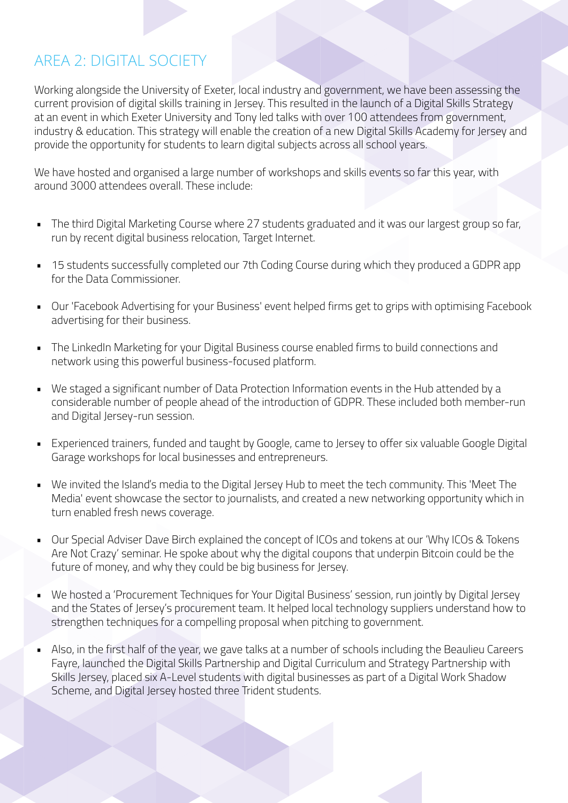## AREA 2: DIGITAL SOCIETY

Working alongside the University of Exeter, local industry and government, we have been assessing the current provision of digital skills training in Jersey. This resulted in the launch of a Digital Skills Strategy at an event in which Exeter University and Tony led talks with over 100 attendees from government, industry & education. This strategy will enable the creation of a new Digital Skills Academy for Jersey and provide the opportunity for students to learn digital subjects across all school years.

We have hosted and organised a large number of workshops and skills events so far this year, with around 3000 attendees overall. These include:

- The third Digital Marketing Course where 27 students graduated and it was our largest group so far, run by recent digital business relocation, Target Internet.
- 15 students successfully completed our 7th Coding Course during which they produced a GDPR app for the Data Commissioner.
- Our 'Facebook Advertising for your Business' event helped firms get to grips with optimising Facebook advertising for their business.
- The LinkedIn Marketing for your Digital Business course enabled firms to build connections and network using this powerful business-focused platform.
- We staged a significant number of Data Protection Information events in the Hub attended by a considerable number of people ahead of the introduction of GDPR. These included both member-run and Digital Jersey-run session.
- Experienced trainers, funded and taught by Google, came to Jersey to offer six valuable Google Digital Garage workshops for local businesses and entrepreneurs.
- We invited the Island's media to the Digital Jersey Hub to meet the tech community. This 'Meet The Media' event showcase the sector to journalists, and created a new networking opportunity which in turn enabled fresh news coverage.
- Our Special Adviser Dave Birch explained the concept of ICOs and tokens at our 'Why ICOs & Tokens Are Not Crazy' seminar. He spoke about why the digital coupons that underpin Bitcoin could be the future of money, and why they could be big business for Jersey.
- We hosted a 'Procurement Techniques for Your Digital Business' session, run jointly by Digital Jersey and the States of Jersey's procurement team. It helped local technology suppliers understand how to strengthen techniques for a compelling proposal when pitching to government.
- Also, in the first half of the year, we gave talks at a number of schools including the Beaulieu Careers Fayre, launched the Digital Skills Partnership and Digital Curriculum and Strategy Partnership with Skills Jersey, placed six A-Level students with digital businesses as part of a Digital Work Shadow Scheme, and Digital Jersey hosted three Trident students.